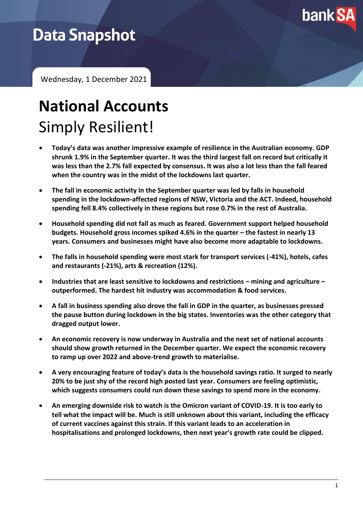

## **Data Snapshot**

Wednesday, 1 December 2021

# **National Accounts** Simply Resilient!

- **Today's data was another impressive example of resilience in the Australian economy. GDP shrunk 1.9% in the September quarter. It was the third largest fall on record but critically it was less than the 2.7% fall expected by consensus. It was also a lot less than the fall feared when the country was in the midst of the lockdowns last quarter.**
- **The fall in economic activity in the September quarter was led by falls in household spending in the lockdown-affected regions of NSW, Victoria and the ACT. Indeed, household spending fell 8.4% collectively in these regions but rose 0.7% in the rest of Australia.**
- **Household spending did not fall as much as feared. Government support helped household budgets. Household gross incomes spiked 4.6% in the quarter – the fastest in nearly 13 years. Consumers and businesses might have also become more adaptable to lockdowns.**
- **The falls in household spending were most stark for transport services (-41%), hotels, cafes and restaurants (-21%), arts & recreation (12%).**
- **Industries that are least sensitive to lockdowns and restrictions – mining and agriculture – outperformed. The hardest hit industry was accommodation & food services.**
- **A fall in business spending also drove the fall in GDP in the quarter, as businesses pressed the pause button during lockdown in the big states. Inventories was the other category that dragged output lower.**
- **An economic recovery is now underway in Australia and the next set of national accounts should show growth returned in the December quarter. We expect the economic recovery to ramp up over 2022 and above-trend growth to materialise.**
- **A very encouraging feature of today's data is the household savings ratio. It surged to nearly 20% to be just shy of the record high posted last year. Consumers are feeling optimistic, which suggests consumers could run down these savings to spend more in the economy.**
- **An emerging downside risk to watch is the Omicron variant of COVID-19. It is too early to tell what the impact will be. Much is still unknown about this variant, including the efficacy of current vaccines against this strain. If this variant leads to an acceleration in hospitalisations and prolonged lockdowns, then next year's growth rate could be clipped.**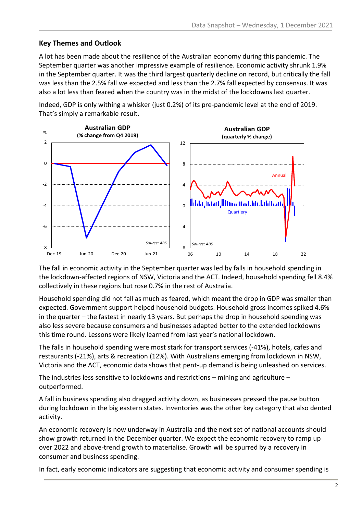#### **Key Themes and Outlook**

A lot has been made about the resilience of the Australian economy during this pandemic. The September quarter was another impressive example of resilience. Economic activity shrunk 1.9% in the September quarter. It was the third largest quarterly decline on record, but critically the fall was less than the 2.5% fall we expected and less than the 2.7% fall expected by consensus. It was also a lot less than feared when the country was in the midst of the lockdowns last quarter.

Indeed, GDP is only withing a whisker (just 0.2%) of its pre-pandemic level at the end of 2019. That's simply a remarkable result.



The fall in economic activity in the September quarter was led by falls in household spending in the lockdown-affected regions of NSW, Victoria and the ACT. Indeed, household spending fell 8.4% collectively in these regions but rose 0.7% in the rest of Australia.

Household spending did not fall as much as feared, which meant the drop in GDP was smaller than expected. Government support helped household budgets. Household gross incomes spiked 4.6% in the quarter – the fastest in nearly 13 years. But perhaps the drop in household spending was also less severe because consumers and businesses adapted better to the extended lockdowns this time round. Lessons were likely learned from last year's national lockdown.

The falls in household spending were most stark for transport services (-41%), hotels, cafes and restaurants (-21%), arts & recreation (12%). With Australians emerging from lockdown in NSW, Victoria and the ACT, economic data shows that pent-up demand is being unleashed on services.

The industries less sensitive to lockdowns and restrictions  $-$  mining and agriculture  $$ outperformed.

A fall in business spending also dragged activity down, as businesses pressed the pause button during lockdown in the big eastern states. Inventories was the other key category that also dented activity.

An economic recovery is now underway in Australia and the next set of national accounts should show growth returned in the December quarter. We expect the economic recovery to ramp up over 2022 and above-trend growth to materialise. Growth will be spurred by a recovery in consumer and business spending.

In fact, early economic indicators are suggesting that economic activity and consumer spending is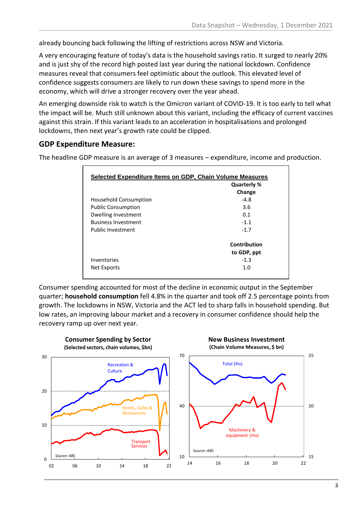already bouncing back following the lifting of restrictions across NSW and Victoria.

A very encouraging feature of today's data is the household savings ratio. It surged to nearly 20% and is just shy of the record high posted last year during the national lockdown. Confidence measures reveal that consumers feel optimistic about the outlook. This elevated level of confidence suggests consumers are likely to run down these savings to spend more in the economy, which will drive a stronger recovery over the year ahead.

An emerging downside risk to watch is the Omicron variant of COVID-19. It is too early to tell what the impact will be. Much still unknown about this variant, including the efficacy of current vaccines against this strain. If this variant leads to an acceleration in hospitalisations and prolonged lockdowns, then next year's growth rate could be clipped.

#### **GDP Expenditure Measure:**

The headline GDP measure is an average of 3 measures – expenditure, income and production.

| Selected Expenditure Items on GDP, Chain Volume Measures |              |  |
|----------------------------------------------------------|--------------|--|
|                                                          | Quarterly %  |  |
|                                                          | Change       |  |
| Household Consumption                                    | $-4.8$       |  |
| <b>Public Consumption</b>                                | 3.6          |  |
| Dwelling Investment                                      | 0.1          |  |
| <b>Business Investment</b>                               | $-1.1$       |  |
| Public Investment                                        | $-1.7$       |  |
|                                                          | Contribution |  |
|                                                          | to GDP, ppt  |  |
| Inventories                                              | $-1.3$       |  |
| Net Exports                                              | 1.0          |  |

Consumer spending accounted for most of the decline in economic output in the September quarter; **household consumption** fell 4.8% in the quarter and took off 2.5 percentage points from growth. The lockdowns in NSW, Victoria and the ACT led to sharp falls in household spending. But low rates, an improving labour market and a recovery in consumer confidence should help the recovery ramp up over next year.

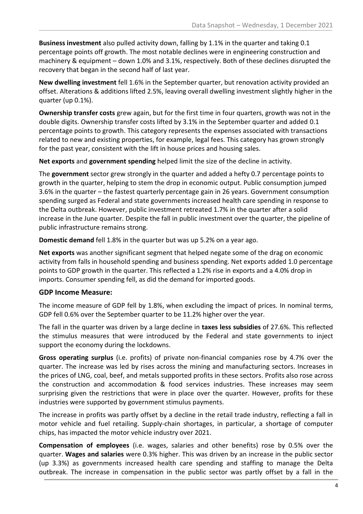**Business investment** also pulled activity down, falling by 1.1% in the quarter and taking 0.1 percentage points off growth. The most notable declines were in engineering construction and machinery & equipment – down 1.0% and 3.1%, respectively. Both of these declines disrupted the recovery that began in the second half of last year.

**New dwelling investment** fell 1.6% in the September quarter, but renovation activity provided an offset. Alterations & additions lifted 2.5%, leaving overall dwelling investment slightly higher in the quarter (up 0.1%).

**Ownership transfer costs** grew again, but for the first time in four quarters, growth was not in the double digits. Ownership transfer costs lifted by 3.1% in the September quarter and added 0.1 percentage points to growth. This category represents the expenses associated with transactions related to new and existing properties, for example, legal fees. This category has grown strongly for the past year, consistent with the lift in house prices and housing sales.

**Net exports** and **government spending** helped limit the size of the decline in activity.

The **government** sector grew strongly in the quarter and added a hefty 0.7 percentage points to growth in the quarter, helping to stem the drop in economic output. Public consumption jumped 3.6% in the quarter – the fastest quarterly percentage gain in 26 years. Government consumption spending surged as Federal and state governments increased health care spending in response to the Delta outbreak. However, public investment retreated 1.7% in the quarter after a solid increase in the June quarter. Despite the fall in public investment over the quarter, the pipeline of public infrastructure remains strong.

**Domestic demand** fell 1.8% in the quarter but was up 5.2% on a year ago.

**Net exports** was another significant segment that helped negate some of the drag on economic activity from falls in household spending and business spending. Net exports added 1.0 percentage points to GDP growth in the quarter. This reflected a 1.2% rise in exports and a 4.0% drop in imports. Consumer spending fell, as did the demand for imported goods.

#### **GDP Income Measure:**

The income measure of GDP fell by 1.8%, when excluding the impact of prices. In nominal terms, GDP fell 0.6% over the September quarter to be 11.2% higher over the year.

The fall in the quarter was driven by a large decline in **taxes less subsidies** of 27.6%. This reflected the stimulus measures that were introduced by the Federal and state governments to inject support the economy during the lockdowns.

**Gross operating surplus** (i.e. profits) of private non-financial companies rose by 4.7% over the quarter. The increase was led by rises across the mining and manufacturing sectors. Increases in the prices of LNG, coal, beef, and metals supported profits in these sectors. Profits also rose across the construction and accommodation & food services industries. These increases may seem surprising given the restrictions that were in place over the quarter. However, profits for these industries were supported by government stimulus payments.

The increase in profits was partly offset by a decline in the retail trade industry, reflecting a fall in motor vehicle and fuel retailing. Supply-chain shortages, in particular, a shortage of computer chips, has impacted the motor vehicle industry over 2021.

**Compensation of employees** (i.e. wages, salaries and other benefits) rose by 0.5% over the quarter. **Wages and salaries** were 0.3% higher. This was driven by an increase in the public sector (up 3.3%) as governments increased health care spending and staffing to manage the Delta outbreak. The increase in compensation in the public sector was partly offset by a fall in the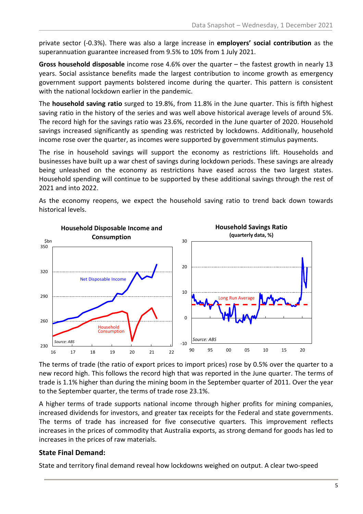private sector (-0.3%). There was also a large increase in **employers' social contribution** as the superannuation guarantee increased from 9.5% to 10% from 1 July 2021.

**Gross household disposable** income rose 4.6% over the quarter – the fastest growth in nearly 13 years. Social assistance benefits made the largest contribution to income growth as emergency government support payments bolstered income during the quarter. This pattern is consistent with the national lockdown earlier in the pandemic.

The **household saving ratio** surged to 19.8%, from 11.8% in the June quarter. This is fifth highest saving ratio in the history of the series and was well above historical average levels of around 5%. The record high for the savings ratio was 23.6%, recorded in the June quarter of 2020. Household savings increased significantly as spending was restricted by lockdowns. Additionally, household income rose over the quarter, as incomes were supported by government stimulus payments.

The rise in household savings will support the economy as restrictions lift. Households and businesses have built up a war chest of savings during lockdown periods. These savings are already being unleashed on the economy as restrictions have eased across the two largest states. Household spending will continue to be supported by these additional savings through the rest of 2021 and into 2022.



As the economy reopens, we expect the household saving ratio to trend back down towards historical levels.

The terms of trade (the ratio of export prices to import prices) rose by 0.5% over the quarter to a new record high. This follows the record high that was reported in the June quarter. The terms of trade is 1.1% higher than during the mining boom in the September quarter of 2011. Over the year to the September quarter, the terms of trade rose 23.1%.

A higher terms of trade supports national income through higher profits for mining companies, increased dividends for investors, and greater tax receipts for the Federal and state governments. The terms of trade has increased for five consecutive quarters. This improvement reflects increases in the prices of commodity that Australia exports, as strong demand for goods has led to increases in the prices of raw materials.

#### **State Final Demand:**

State and territory final demand reveal how lockdowns weighed on output. A clear two-speed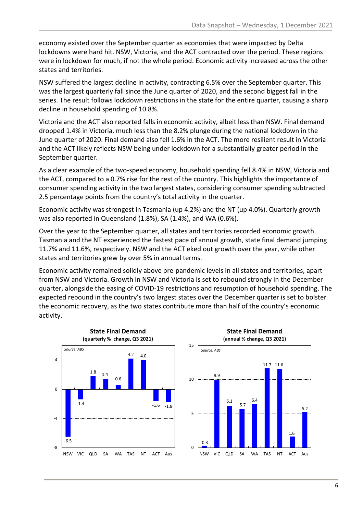economy existed over the September quarter as economies that were impacted by Delta lockdowns were hard hit. NSW, Victoria, and the ACT contracted over the period. These regions were in lockdown for much, if not the whole period. Economic activity increased across the other states and territories.

NSW suffered the largest decline in activity, contracting 6.5% over the September quarter. This was the largest quarterly fall since the June quarter of 2020, and the second biggest fall in the series. The result follows lockdown restrictions in the state for the entire quarter, causing a sharp decline in household spending of 10.8%.

Victoria and the ACT also reported falls in economic activity, albeit less than NSW. Final demand dropped 1.4% in Victoria, much less than the 8.2% plunge during the national lockdown in the June quarter of 2020. Final demand also fell 1.6% in the ACT. The more resilient result in Victoria and the ACT likely reflects NSW being under lockdown for a substantially greater period in the September quarter.

As a clear example of the two-speed economy, household spending fell 8.4% in NSW, Victoria and the ACT, compared to a 0.7% rise for the rest of the country. This highlights the importance of consumer spending activity in the two largest states, considering consumer spending subtracted 2.5 percentage points from the country's total activity in the quarter.

Economic activity was strongest in Tasmania (up 4.2%) and the NT (up 4.0%). Quarterly growth was also reported in Queensland (1.8%), SA (1.4%), and WA (0.6%).

Over the year to the September quarter, all states and territories recorded economic growth. Tasmania and the NT experienced the fastest pace of annual growth, state final demand jumping 11.7% and 11.6%, respectively. NSW and the ACT eked out growth over the year, while other states and territories grew by over 5% in annual terms.

Economic activity remained solidly above pre-pandemic levels in all states and territories, apart from NSW and Victoria. Growth in NSW and Victoria is set to rebound strongly in the December quarter, alongside the easing of COVID-19 restrictions and resumption of household spending. The expected rebound in the country's two largest states over the December quarter is set to bolster the economic recovery, as the two states contribute more than half of the country's economic activity.

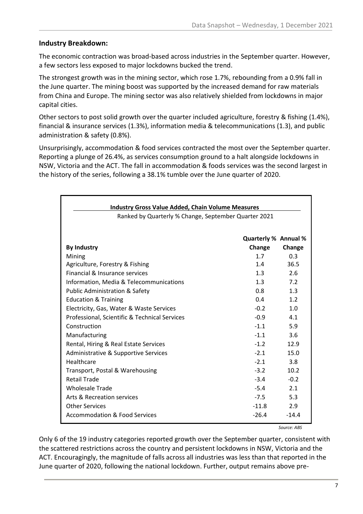#### **Industry Breakdown:**

The economic contraction was broad-based across industries in the September quarter. However, a few sectors less exposed to major lockdowns bucked the trend.

The strongest growth was in the mining sector, which rose 1.7%, rebounding from a 0.9% fall in the June quarter. The mining boost was supported by the increased demand for raw materials from China and Europe. The mining sector was also relatively shielded from lockdowns in major capital cities.

Other sectors to post solid growth over the quarter included agriculture, forestry & fishing (1.4%), financial & insurance services (1.3%), information media & telecommunications (1.3), and public administration & safety (0.8%).

Unsurprisingly, accommodation & food services contracted the most over the September quarter. Reporting a plunge of 26.4%, as services consumption ground to a halt alongside lockdowns in NSW, Victoria and the ACT. The fall in accommodation & foods services was the second largest in the history of the series, following a 38.1% tumble over the June quarter of 2020.

| <b>Industry Gross Value Added, Chain Volume Measures</b> |                             |         |  |
|----------------------------------------------------------|-----------------------------|---------|--|
| Ranked by Quarterly % Change, September Quarter 2021     |                             |         |  |
|                                                          |                             |         |  |
|                                                          | <b>Quarterly % Annual %</b> |         |  |
| <b>By Industry</b>                                       | Change                      | Change  |  |
| Mining                                                   | 1.7                         | 0.3     |  |
| Agriculture, Forestry & Fishing                          | 1.4                         | 36.5    |  |
| Financial & Insurance services                           | 1.3                         | 2.6     |  |
| Information, Media & Telecommunications                  | 1.3                         | 7.2     |  |
| <b>Public Administration &amp; Safety</b>                | $0.8^{\circ}$               | 1.3     |  |
| <b>Education &amp; Training</b>                          | 0.4                         | 1.2     |  |
| Electricity, Gas, Water & Waste Services                 | $-0.2$                      | 1.0     |  |
| Professional, Scientific & Technical Services            | $-0.9$                      | 4.1     |  |
| Construction                                             | $-1.1$                      | 5.9     |  |
| Manufacturing                                            | $-1.1$                      | 3.6     |  |
| Rental, Hiring & Real Estate Services                    | $-1.2$                      | 12.9    |  |
| Administrative & Supportive Services                     | $-2.1$                      | 15.0    |  |
| Healthcare                                               | $-2.1$                      | 3.8     |  |
| Transport, Postal & Warehousing                          | $-3.2$                      | 10.2    |  |
| <b>Retail Trade</b>                                      | $-3.4$                      | $-0.2$  |  |
| <b>Wholesale Trade</b>                                   | $-5.4$                      | 2.1     |  |
| Arts & Recreation services                               | $-7.5$                      | 5.3     |  |
| <b>Other Services</b>                                    | $-11.8$                     | 2.9     |  |
| Accommodation & Food Services                            | $-26.4$                     | $-14.4$ |  |

*Source: ABS*

Only 6 of the 19 industry categories reported growth over the September quarter, consistent with the scattered restrictions across the country and persistent lockdowns in NSW, Victoria and the ACT. Encouragingly, the magnitude of falls across all industries was less than that reported in the June quarter of 2020, following the national lockdown. Further, output remains above pre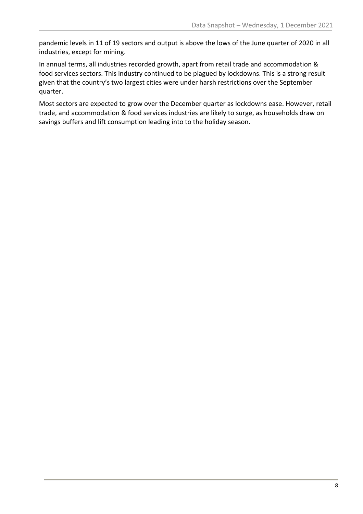pandemic levels in 11 of 19 sectors and output is above the lows of the June quarter of 2020 in all industries, except for mining.

In annual terms, all industries recorded growth, apart from retail trade and accommodation & food services sectors. This industry continued to be plagued by lockdowns. This is a strong result given that the country's two largest cities were under harsh restrictions over the September quarter.

Most sectors are expected to grow over the December quarter as lockdowns ease. However, retail trade, and accommodation & food services industries are likely to surge, as households draw on savings buffers and lift consumption leading into to the holiday season.